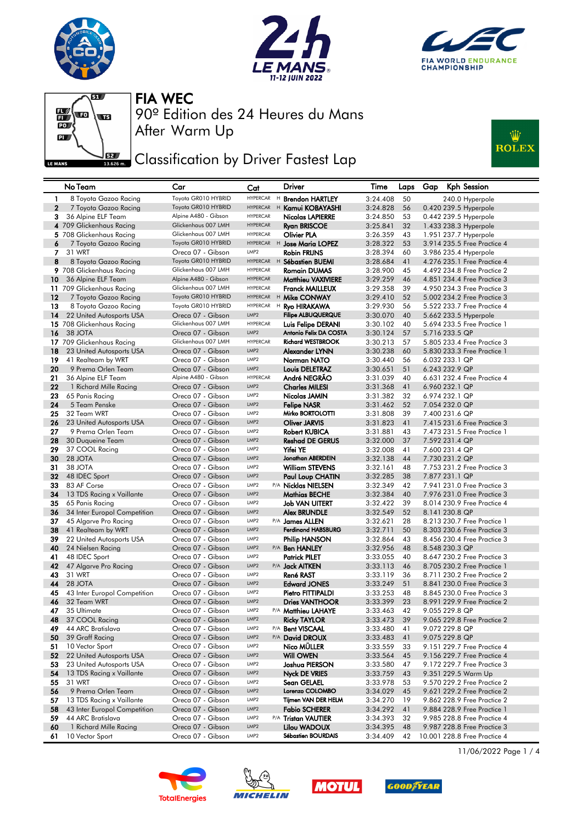







**JEE** Classification by Driver Fastest Lap



|              | No Team                                      | Car                                       | Cat                                  |   | <b>Driver</b>                             | Time                 | Laps     | Gap | <b>Kph Session</b>                                          |
|--------------|----------------------------------------------|-------------------------------------------|--------------------------------------|---|-------------------------------------------|----------------------|----------|-----|-------------------------------------------------------------|
| -1           | 8 Toyota Gazoo Racing                        | Toyota GR010 HYBRID                       | <b>HYPERCAR</b>                      |   | <sup>H</sup> Brendon HARTLEY              | 3:24.408             | 50       |     | 240.0 Hyperpole                                             |
| $\mathbf{2}$ | 7 Toyota Gazoo Racing                        | Toyota GR010 HYBRID                       | <b>HYPERCAR</b>                      |   | <sup>H</sup> Kamui KOBAYASHI              | 3:24.828             | 56       |     | 0.420 239.5 Hyperpole                                       |
| 3            | 36 Alpine ELF Team                           | Alpine A480 - Gibson                      | <b>HYPERCAR</b>                      |   | Nicolas LAPIERRE                          | 3:24.850             | 53       |     | 0.442 239.5 Hyperpole                                       |
|              | 4 709 Glickenhaus Racing                     | Glickenhaus 007 LMH                       | <b>HYPERCAR</b>                      |   | <b>Ryan BRISCOE</b>                       | 3:25.841             | 32       |     | 1.433 238.3 Hyperpole                                       |
|              | 5 708 Glickenhaus Racing                     | Glickenhaus 007 LMH                       | HYPERCAR                             |   | Olivier PLA                               | 3:26.359             | 43       |     | 1.951 237.7 Hyperpole                                       |
| 6            | 7 Toyota Gazoo Racing                        | Toyota GR010 HYBRID                       |                                      |   | HYPERCAR H Jose Maria LOPEZ               | 3:28.322             | 53       |     | 3.914 235.5 Free Practice 4                                 |
| 7            | 31 WRT                                       | Oreca 07 - Gibson                         | LMP <sub>2</sub>                     |   | <b>Robin FRIJNS</b>                       | 3:28.394             | 60       |     | 3.986 235.4 Hyperpole                                       |
| 8            | 8 Toyota Gazoo Racing                        | Toyota GR010 HYBRID                       |                                      |   | HYPERCAR H Sébastien BUEMI                | 3:28.684             | 41       |     | 4.276 235.1 Free Practice 4                                 |
|              | 9 708 Glickenhaus Racing                     | Glickenhaus 007 LMH                       | HYPERCAR                             |   | <b>Romain DUMAS</b>                       | 3:28.900             | 45       |     | 4.492 234.8 Free Practice 2                                 |
| 10           | 36 Alpine ELF Team                           | Alpine A480 - Gibson                      | <b>HYPERCAR</b>                      |   | Matthieu VAXIVIERE                        | 3:29.259             | 46       |     | 4.851 234.4 Free Practice 3                                 |
|              | 11 709 Glickenhaus Racing                    | Glickenhaus 007 LMH                       | HYPERCAR                             |   | Franck MAILLEUX                           | 3:29.358             | 39       |     | 4.950 234.3 Free Practice 3                                 |
| 12           | 7 Toyota Gazoo Racing                        | Toyota GR010 HYBRID                       | <b>HYPERCAR</b>                      |   | <sup>H</sup> Mike CONWAY                  | 3:29.410             | 52       |     | 5.002 234.2 Free Practice 3                                 |
| 13           | 8 Toyota Gazoo Racing                        | Toyota GR010 HYBRID                       | <b>HYPERCAR</b>                      | H | Ryo HIRAKAWA                              | 3:29.930             | 56       |     | 5.522 233.7 Free Practice 4                                 |
| 14           | 22 United Autosports USA                     | Oreca 07 - Gibson                         | LMP <sub>2</sub>                     |   | <b>Filipe ALBUQUERQUE</b>                 | 3:30.070             | 40       |     | 5.662 233.5 Hyperpole                                       |
|              | 15 708 Glickenhaus Racing                    | Glickenhaus 007 LMH                       | <b>HYPERCAR</b>                      |   | Luis Felipe DERANI                        | 3:30.102             | 40       |     | 5.694 233.5 Free Practice 1                                 |
| 16           | 38 JOTA                                      | Oreca 07 - Gibson                         | LMP <sub>2</sub>                     |   | Antonio Felix DA COSTA                    | 3:30.124             | 57       |     | 5.716 233.5 QP                                              |
|              | 17 709 Glickenhaus Racing                    | Glickenhaus 007 LMH                       | <b>HYPERCAR</b>                      |   | <b>Richard WESTBROOK</b>                  | 3:30.213             | 57       |     | 5.805 233.4 Free Practice 3                                 |
| 18           | 23 United Autosports USA                     | Oreca 07 - Gibson                         | LMP <sub>2</sub>                     |   | Alexander LYNN                            | 3:30.238             | 60       |     | 5.830 233.3 Free Practice 1                                 |
| 19           | 41 Realteam by WRT                           | Oreca 07 - Gibson                         | LMP <sub>2</sub><br>LMP <sub>2</sub> |   | <b>Norman NATO</b>                        | 3:30.440             | 56       |     | 6.032 233.1 QP                                              |
| 20           | 9 Prema Orlen Team                           | Oreca 07 - Gibson<br>Alpine A480 - Gibson | <b>HYPERCAR</b>                      |   | Louis DELETRAZ<br>André NEGRÃO            | 3:30.651             | 51<br>40 |     | 6.243 232.9 QP                                              |
| 21<br>22     | 36 Alpine ELF Team<br>1 Richard Mille Racing | Oreca 07 - Gibson                         | LMP <sub>2</sub>                     |   | <b>Charles MILESI</b>                     | 3:31.039<br>3:31.368 | 41       |     | 6.631 232.4 Free Practice 4<br>6.960 232.1 QP               |
| 23           | 65 Panis Racing                              | Oreca 07 - Gibson                         | LMP <sub>2</sub>                     |   | Nicolas JAMIN                             | 3:31.382             | 32       |     | 6.974 232.1 QP                                              |
| 24           | 5 Team Penske                                | Oreca 07 - Gibson                         | LMP <sub>2</sub>                     |   | <b>Felipe NASR</b>                        | 3:31.462             | 52       |     | 7.054 232.0 QP                                              |
| 25           | 32 Team WRT                                  | Oreca 07 - Gibson                         | LMP <sub>2</sub>                     |   | Mirko BORTOLOTTI                          | 3:31.808             | 39       |     | 7.400 231.6 QP                                              |
| 26           | 23 United Autosports USA                     | Oreca 07 - Gibson                         | LMP <sub>2</sub>                     |   | <b>Oliver JARVIS</b>                      | 3:31.823             | 41       |     | 7.415 231.6 Free Practice 3                                 |
| 27           | 9 Prema Orlen Team                           | Oreca 07 - Gibson                         | LMP <sub>2</sub>                     |   | <b>Robert KUBICA</b>                      | 3:31.881             | 43       |     | 7.473 231.5 Free Practice 1                                 |
| 28           | 30 Duqueine Team                             | Oreca 07 - Gibson                         | LMP <sub>2</sub>                     |   | <b>Reshad DE GERUS</b>                    | 3:32.000             | 37       |     | 7.592 231.4 QP                                              |
| 29           | 37 COOL Racing                               | Oreca 07 - Gibson                         | LMP <sub>2</sub>                     |   | Yifei YE                                  | 3:32.008             | 41       |     | 7.600 231.4 QP                                              |
| 30           | 28 JOTA                                      | Oreca 07 - Gibson                         | LMP <sub>2</sub>                     |   | Jonathan ABERDEIN                         | 3:32.138             | 44       |     | 7.730 231.2 QP                                              |
| 31           | 38 JOTA                                      | Oreca 07 - Gibson                         | LMP <sub>2</sub>                     |   | <b>William STEVENS</b>                    | 3:32.161             | 48       |     | 7.753 231.2 Free Practice 3                                 |
| 32           | 48 IDEC Sport                                | Oreca 07 - Gibson                         | LMP <sub>2</sub>                     |   | Paul Loup CHATIN                          | 3:32.285             | 38       |     | 7.877 231.1 QP                                              |
| 33           | 83 AF Corse                                  | Oreca 07 - Gibson                         | LMP <sub>2</sub>                     |   | P/A Nicklas NIELSEN                       | 3:32.349             | 42       |     | 7.941 231.0 Free Practice 3                                 |
| 34           | 13 TDS Racing x Vaillante                    | Oreca 07 - Gibson                         | LMP <sub>2</sub>                     |   | Mathias BECHE                             | 3:32.384             | 40       |     | 7.976 231.0 Free Practice 3                                 |
| 35           | 65 Panis Racing                              | Oreca 07 - Gibson                         | LMP <sub>2</sub>                     |   | Job VAN UITERT                            | 3:32.422             | 39       |     | 8.014 230.9 Free Practice 4                                 |
| 36           | 34 Inter Europol Competition                 | Oreca 07 - Gibson                         | LMP <sub>2</sub>                     |   | <b>Alex BRUNDLE</b>                       | 3:32.549             | 52       |     | 8.141 230.8 QP                                              |
| 37           | 45 Algarve Pro Racing                        | Oreca 07 - Gibson                         | LMP <sub>2</sub>                     |   | P/A James ALLEN                           | 3:32.621             | 28       |     | 8.213 230.7 Free Practice 1                                 |
| 38           | 41 Realteam by WRT                           | Oreca 07 - Gibson                         | LMP <sub>2</sub>                     |   | <b>Ferdinand HABSBURG</b>                 | 3:32.711             | 50       |     | 8.303 230.6 Free Practice 3                                 |
| 39           | 22 United Autosports USA                     | Oreca 07 - Gibson                         | LMP <sub>2</sub><br>LMP <sub>2</sub> |   | Philip HANSON                             | 3:32.864             | 43       |     | 8.456 230.4 Free Practice 3                                 |
| 40           | 24 Nielsen Racing                            | Oreca 07 - Gibson<br>Oreca 07 - Gibson    | LMP <sub>2</sub>                     |   | P/A Ben HANLEY                            | 3:32.956             | 48<br>40 |     | 8.548 230.3 QP<br>8.647 230.2 Free Practice 3               |
| 41<br>42     | 48 IDEC Sport<br>47 Algarve Pro Racing       | Oreca 07 - Gibson                         | LMP <sub>2</sub>                     |   | Patrick PILET<br>P/A <b>Jack AITKEN</b>   | 3:33.055<br>3:33.113 | 46       |     | 8.705 230.2 Free Practice 1                                 |
| 43           | 31 WRT                                       | Oreca 07 - Gibson                         | LMP <sub>2</sub>                     |   | René RAST                                 | 3:33.119             | 36       |     | 8.711 230.2 Free Practice 2                                 |
| 44           | 28 JOTA                                      | Oreca 07 - Gibson                         | LMP <sub>2</sub>                     |   | <b>Edward JONES</b>                       | 3:33.249             | 51       |     | 8.841 230.0 Free Practice 3                                 |
| 45           | 43 Inter Europol Competition                 | Oreca 07 - Gibson                         | LMP <sub>2</sub>                     |   | Pietro FITTIPALDI                         | 3:33.253             | 48       |     | 8.845 230.0 Free Practice 3                                 |
| 46           | 32 Team WRT                                  | Oreca 07 - Gibson                         | LMP <sub>2</sub>                     |   | <b>Dries VANTHOOR</b>                     | 3:33.399             | 23       |     | 8.991 229.9 Free Practice 2                                 |
| 47           | 35 Ultimate                                  | Oreca 07 - Gibson                         | LMP <sub>2</sub>                     |   | P/A Matthieu LAHAYE                       | 3:33.463             | 42       |     | 9.055 229.8 QP                                              |
| 48           | 37 COOL Racing                               | Oreca 07 - Gibson                         | LMP <sub>2</sub>                     |   | <b>Ricky TAYLOR</b>                       | 3:33.473             | 39       |     | 9.065 229.8 Free Practice 2                                 |
| 49           | 44 ARC Bratislava                            | Oreca 07 - Gibson                         | LMP <sub>2</sub>                     |   | P/A Bent VISCAAL                          | 3:33.480             | 41       |     | 9.072 229.8 QP                                              |
| 50           | 39 Graff Racing                              | Oreca 07 - Gibson                         | LMP <sub>2</sub>                     |   | P/A David DROUX                           | 3:33.483             | 41       |     | 9.075 229.8 QP                                              |
| 51           | 10 Vector Sport                              | Oreca 07 - Gibson                         | LMP <sub>2</sub>                     |   | Nico MÜLLER                               | 3:33.559             | 33       |     | 9.151 229.7 Free Practice 4                                 |
| 52           | 22 United Autosports USA                     | Oreca 07 - Gibson                         | LMP <sub>2</sub>                     |   | Will OWEN                                 | 3:33.564             | 45       |     | 9.156 229.7 Free Practice 4                                 |
| 53           | 23 United Autosports USA                     | Oreca 07 - Gibson                         | LMP <sub>2</sub>                     |   | Joshua PIERSON                            | 3:33.580             | 47       |     | 9.172 229.7 Free Practice 3                                 |
| 54           | 13 TDS Racing x Vaillante                    | Oreca 07 - Gibson                         | LMP <sub>2</sub>                     |   | <b>Nyck DE VRIES</b>                      | 3:33.759             | 43       |     | 9.351 229.5 Warm Up                                         |
| 55           | 31 WRT                                       | Oreca 07 - Gibson                         | LMP <sub>2</sub>                     |   | Sean GELAEL                               | 3:33.978             | 53       |     | 9.570 229.2 Free Practice 2                                 |
| 56           | 9 Prema Orlen Team                           | Oreca 07 - Gibson                         | LMP2                                 |   | Lorenzo COLOMBO                           | 3:34.029             | 45       |     | 9.621 229.2 Free Practice 2                                 |
| 57           | 13 TDS Racing x Vaillante                    | Oreca 07 - Gibson                         | LMP <sub>2</sub>                     |   | Tijmen VAN DER HELM                       | 3:34.270             | 19       |     | 9.862 228.9 Free Practice 2                                 |
| 58           | 43 Inter Europol Competition                 | Oreca 07 - Gibson                         | LMP <sub>2</sub>                     |   | <b>Fabio SCHERER</b>                      | 3:34.292             | 41       |     | 9.884 228.9 Free Practice 1                                 |
| 59           | 44 ARC Bratislava                            | Oreca 07 - Gibson                         | LMP2<br>LMP <sub>2</sub>             |   | P/A Tristan VAUTIER                       | 3:34.393             | 32       |     | 9.985 228.8 Free Practice 4                                 |
| 60           | 1 Richard Mille Racing<br>10 Vector Sport    | Oreca 07 - Gibson<br>Oreca 07 - Gibson    | LMP <sub>2</sub>                     |   | Lilou WADOUX<br><b>Sébastien BOURDAIS</b> | 3:34.395             | 48<br>42 |     | 9.987 228.8 Free Practice 3<br>10.001 228.8 Free Practice 4 |
| 61           |                                              |                                           |                                      |   |                                           | 3:34.409             |          |     |                                                             |









11/06/2022 Page 1 / 4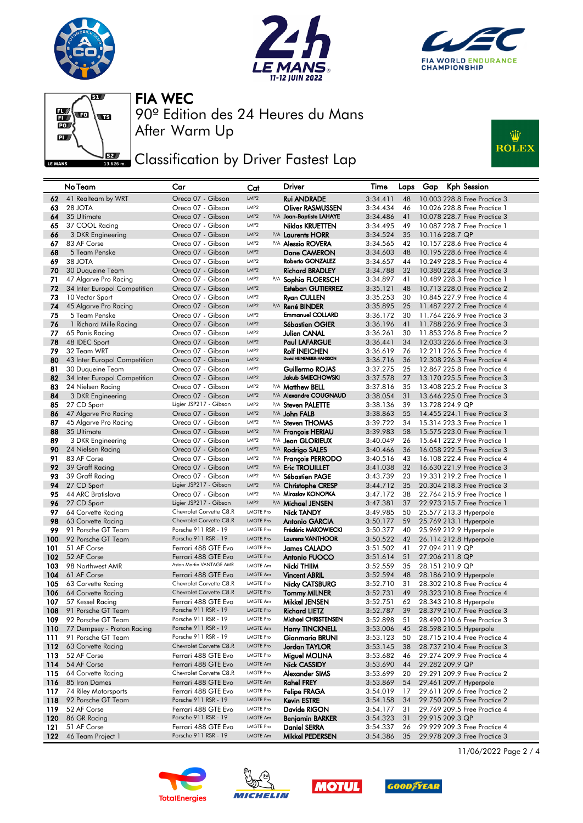







**JEE** Classification by Driver Fastest Lap



|          | No Team                          | Car                                    | Cat                      | Driver                                           | Time                 | Laps     | <b>Kph Session</b><br>Gap                                    |
|----------|----------------------------------|----------------------------------------|--------------------------|--------------------------------------------------|----------------------|----------|--------------------------------------------------------------|
| 62       | 41 Realteam by WRT               | Oreca 07 - Gibson                      | LMP <sub>2</sub>         | <b>Rui ANDRADE</b>                               | 3:34.411             | 48       | 10.003 228.8 Free Practice 3                                 |
| 63       | 28 JOTA                          | Oreca 07 - Gibson                      | LMP <sub>2</sub>         | <b>Oliver RASMUSSEN</b>                          | 3:34.434             | 46       | 10.026 228.8 Free Practice 1                                 |
| 64       | 35 Ultimate                      | Oreca 07 - Gibson                      | LMP <sub>2</sub>         | P/A Jean-Baptiste LAHAYE                         | 3:34.486             | 41       | 10.078 228.7 Free Practice 3                                 |
| 65       | 37 COOL Racing                   | Oreca 07 - Gibson                      | LMP <sub>2</sub>         | Niklas KRUETTEN                                  | 3:34.495             | 49       | 10.087 228.7 Free Practice 1                                 |
| 66       | 3 DKR Engineering                | Oreca 07 - Gibson                      | LMP2                     | P/A Laurents HORR                                | 3:34.524             | 35       | 10.116 228.7 QP                                              |
| 67       | 83 AF Corse                      | Oreca 07 - Gibson                      | LMP <sub>2</sub>         | P/A <b>Alessio ROVERA</b>                        | 3:34.565             | 42       | 10.157 228.6 Free Practice 4                                 |
| 68       | 5 Team Penske                    | Oreca 07 - Gibson                      | LMP <sub>2</sub>         | <b>Dane CAMERON</b>                              | 3:34.603             | 48       | 10.195 228.6 Free Practice 4                                 |
| 69       | 38 JOTA                          | Oreca 07 - Gibson                      | LMP <sub>2</sub>         | Roberto GONZALEZ                                 | 3:34.657             | 44       | 10.249 228.5 Free Practice 4                                 |
| 70       | 30 Duqueine Team                 | Oreca 07 - Gibson                      | LMP <sub>2</sub>         | <b>Richard BRADLEY</b>                           | 3:34.788             | 32       | 10.380 228.4 Free Practice 3                                 |
| 71       | 47 Algarve Pro Racing            | Oreca 07 - Gibson                      | LMP2                     | P/A Sophia FLOERSCH                              | 3:34.897             | 41       | 10.489 228.3 Free Practice 1                                 |
| 72       | 34 Inter Europol Competition     | Oreca 07 - Gibson                      | LMP <sub>2</sub>         | <b>Esteban GUTIERREZ</b>                         | 3:35.121             | 48       | 10.713 228.0 Free Practice 2                                 |
| 73       | 10 Vector Sport                  | Oreca 07 - Gibson                      | LMP <sub>2</sub>         | <b>Ryan CULLEN</b>                               | 3:35.253             | 30       | 10.845 227.9 Free Practice 4                                 |
| 74       | 45 Algarve Pro Racing            | Oreca 07 - Gibson                      | LMP <sub>2</sub>         | P/A René BINDER                                  | 3:35.895             | 25       | 11.487 227.2 Free Practice 4                                 |
| 75       | 5 Team Penske                    | Oreca 07 - Gibson                      | LMP <sub>2</sub>         | <b>Emmanuel COLLARD</b>                          | 3:36.172             | 30       | 11.764 226.9 Free Practice 3                                 |
| 76       | 1 Richard Mille Racing           | Oreca 07 - Gibson                      | LMP <sub>2</sub>         | Sébastien OGIER                                  | 3:36.196             | 41       | 11.788 226.9 Free Practice 3                                 |
| 77       | 65 Panis Racing                  | Oreca 07 - Gibson                      | LMP <sub>2</sub>         | Julien CANAL                                     | 3:36.261             | 30       | 11,853 226.8 Free Practice 2                                 |
| 78       | 48 IDEC Sport                    | Oreca 07 - Gibson                      | LMP <sub>2</sub>         | <b>Paul LAFARGUE</b>                             | 3:36.441             | 34       | 12.033 226.6 Free Practice 3                                 |
| 79       | 32 Team WRT                      | Oreca 07 - Gibson                      | LMP <sub>2</sub>         | <b>Rolf INEICHEN</b><br>David HEINEMEIER-HANSSON | 3:36.619             | 76       | 12.211 226.5 Free Practice 4                                 |
| 80       | 43 Inter Europol Competition     | Oreca 07 - Gibson                      | LMP <sub>2</sub>         |                                                  | 3:36.716             | 36       | 12,308 226.3 Free Practice 4                                 |
| 81       | 30 Duqueine Team                 | Oreca 07 - Gibson                      | LMP <sub>2</sub>         | Guillermo ROJAS                                  | 3:37.275             | 25       | 12.867 225.8 Free Practice 4                                 |
| 82       | 34 Inter Europol Competition     | Oreca 07 - Gibson                      | LMP <sub>2</sub>         | Jakub SMIECHOWSKI                                | 3:37.578             | 27       | 13.170 225.5 Free Practice 3                                 |
| 83       | 24 Nielsen Racing                | Oreca 07 - Gibson                      | LMP <sub>2</sub>         | P/A Matthew BELL                                 | 3:37.816             | 35       | 13,408 225.2 Free Practice 3                                 |
| 84       | 3 DKR Engineering                | Oreca 07 - Gibson                      | LMP <sub>2</sub>         | P/A Alexandre COUGNAUD                           | 3:38.054             | 31       | 13.646 225.0 Free Practice 3                                 |
| 85       | 27 CD Sport                      | Ligier JSP217 - Gibson                 | LMP <sub>2</sub>         | P/A Steven PALETTE                               | 3:38.136             | 39       | 13.728 224.9 QP                                              |
| 86       | 47 Algarve Pro Racing            | Oreca 07 - Gibson                      | LMP <sub>2</sub>         | P/A John FALB                                    | 3:38.863             | 55       | 14.455 224.1 Free Practice 3                                 |
| 87       | 45 Algarve Pro Racing            | Oreca 07 - Gibson                      | LMP <sub>2</sub>         | P/A Steven THOMAS                                | 3:39.722             | 34       | 15.314 223.3 Free Practice 1                                 |
| 88       | 35 Ultimate                      | Oreca 07 - Gibson                      | LMP <sub>2</sub>         | P/A François HERIAU                              | 3:39.983             | 58       | 15.575 223.0 Free Practice 1                                 |
| 89       | 3 DKR Engineering                | Oreca 07 - Gibson<br>Oreca 07 - Gibson | LMP2<br>LMP <sub>2</sub> | P/A Jean GLORIEUX                                | 3:40.049<br>3:40.466 | 26       | 15.641 222.9 Free Practice 1<br>16.058 222.5 Free Practice 3 |
| 90<br>91 | 24 Nielsen Racina<br>83 AF Corse | Oreca 07 - Gibson                      | LMP <sub>2</sub>         | P/A Rodrigo SALES<br>P/A Francois PERRODO        | 3:40.516             | 36<br>43 | 16.108 222.4 Free Practice 4                                 |
| 92       | 39 Graff Racing                  | Oreca 07 - Gibson                      | LMP <sub>2</sub>         | P/A Eric TROUILLET                               | 3:41.038             | 32       | 16.630 221.9 Free Practice 3                                 |
| 93       | 39 Graff Racing                  | Oreca 07 - Gibson                      | LMP2                     | P/A Sébastien PAGE                               | 3:43.739             | 23       | 19.331 219.2 Free Practice 1                                 |
| 94       | 27 CD Sport                      | Ligier JSP217 - Gibson                 | LMP <sub>2</sub>         | P/A Christophe CRESP                             | 3:44.712             | 35       | 20.304 218.3 Free Practice 3                                 |
| 95       | 44 ARC Bratislava                | Oreca 07 - Gibson                      | LMP <sub>2</sub>         | P/A Miroslav KONOPKA                             | 3:47.172             | 38       | 22.764 215.9 Free Practice 1                                 |
| 96       | 27 CD Sport                      | Ligier JSP217 - Gibson                 | LMP <sub>2</sub>         | P/A Michael JENSEN                               | 3:47.381             | 37       | 22.973 215.7 Free Practice 1                                 |
| 97       | 64 Corvette Racing               | Chevrolet Corvette C8.R                | <b>LMGTE Pro</b>         | <b>Nick TANDY</b>                                | 3:49.985             | 50       | 25.577 213.3 Hyperpole                                       |
| 98       | 63 Corvette Racing               | Chevrolet Corvette C8.R                | <b>LMGTE Pro</b>         | <b>Antonio GARCIA</b>                            | 3:50.177             | 59       | 25.769 213.1 Hyperpole                                       |
| 99       | 91 Porsche GT Team               | Porsche 911 RSR - 19                   | <b>LMGTE Pro</b>         | Frédéric MAKOWIECKI                              | 3:50.377             | 40       | 25.969 212.9 Hyperpole                                       |
| 100      | 92 Porsche GT Team               | Porsche 911 RSR - 19                   | <b>LMGTE Pro</b>         | <b>Laurens VANTHOOR</b>                          | 3:50.522             | 42       | 26.114 212.8 Hyperpole                                       |
| 101      | 51 AF Corse                      | Ferrari 488 GTE Evo                    | <b>LMGTE Pro</b>         | <b>James CALADO</b>                              | 3:51.502             | 41       | 27.094 211.9 QP                                              |
| 102      | 52 AF Corse                      | Ferrari 488 GTE Evo                    | <b>LMGTE Pro</b>         | <b>Antonio FUOCO</b>                             | 3:51.614             | 51       | 27.206 211.8 QP                                              |
| 103      | 98 Northwest AMR                 | Aston Martin VANTAGE AMR               | <b>LMGTE Am</b>          | Nicki THIIM                                      | 3:52.559             | 35       | 28.151 210.9 QP                                              |
| 104      | 61 AF Corse                      | Ferrari 488 GTE Evo                    | <b>LMGTE Am</b>          | <b>Vincent ABRIL</b>                             | 3:52.594             | 48       | 28.186 210.9 Hyperpole                                       |
| 105      | 63 Corvette Racing               | Chevrolet Corvette C8.R                | <b>LMGTE Pro</b>         | <b>Nicky CATSBURG</b>                            | 3:52.710             | 31       | 28.302 210.8 Free Practice 4                                 |
| 106      | 64 Corvette Racing               | Chevrolet Corvette C8.R                | <b>LMGTE Pro</b>         | <b>Tommy MILNER</b>                              | 3:52.731             | 49       | 28.323 210.8 Free Practice 4                                 |
| 107      | 57 Kessel Racing                 | Ferrari 488 GTE Evo                    | <b>LMGTE Am</b>          | Mikkel JENSEN                                    | 3:52.751             | 62       | 28.343 210.8 Hyperpole                                       |
| 108      | 91 Porsche GT Team               | Porsche 911 RSR - 19                   | <b>LMGTE Pro</b>         | <b>Richard LIETZ</b>                             | 3:52.787             | 39       | 28.379 210.7 Free Practice 3                                 |
| 109      | 92 Porsche GT Team               | Porsche 911 RSR - 19                   | <b>LMGTE Pro</b>         | Michael CHRISTENSEN                              | 3:52.898             | 51       | 28.490 210.6 Free Practice 3                                 |
| 110      | 77 Dempsey - Proton Racing       | Porsche 911 RSR - 19                   | LMGTE Am                 | <b>Harry TINCKNELL</b>                           | 3:53.006             | 45       | 28.598 210.5 Hyperpole                                       |
| 111      | 91 Porsche GT Team               | Porsche 911 RSR - 19                   | <b>LMGTE Pro</b>         | Gianmaria BRUNI                                  | 3:53.123             | 50       | 28.715 210.4 Free Practice 4                                 |
| 112      | 63 Corvette Racing               | Chevrolet Corvette C8.R                | <b>LMGTE Pro</b>         | Jordan TAYLOR                                    | 3:53.145             | 38       | 28.737 210.4 Free Practice 3                                 |
| 113      | 52 AF Corse                      | Ferrari 488 GTE Evo                    | <b>LMGTE Pro</b>         | Miguel MOLINA                                    | 3:53.682             | 46       | 29.274 209.9 Free Practice 4                                 |
| 114      | 54 AF Corse                      | Ferrari 488 GTE Evo                    | <b>LMGTE Am</b>          | Nick CASSIDY                                     | 3:53.690             | 44       | 29.282 209.9 QP                                              |
| 115      | 64 Corvette Racing               | Chevrolet Corvette C8.R                | LMGTE Pro                | Alexander SIMS                                   | 3:53.699             | 20       | 29.291 209.9 Free Practice 2                                 |
| 116      | 85 Iron Dames                    | Ferrari 488 GTE Evo                    | LMGTE Am                 | <b>Rahel FREY</b>                                | 3:53.869             | 54       | 29.461 209.7 Hyperpole                                       |
| 117      | 74 Riley Motorsports             | Ferrari 488 GTE Evo                    | <b>LMGTE Pro</b>         | <b>Felipe FRAGA</b>                              | 3:54.019             | 17       | 29.611 209.6 Free Practice 2                                 |
| 118      | 92 Porsche GT Team               | Porsche 911 RSR - 19                   | <b>LMGTE Pro</b>         | Kevin ESTRE                                      | 3:54.158             | 34       | 29.750 209.5 Free Practice 2                                 |
| 119      | 52 AF Corse                      | Ferrari 488 GTE Evo                    | <b>LMGTE Pro</b>         | Davide RIGON                                     | 3:54.177             | 31       | 29.769 209.5 Free Practice 4                                 |
| 120      | 86 GR Racing                     | Porsche 911 RSR - 19                   | LMGTE Am                 | <b>Benjamin BARKER</b>                           | 3:54.323             | 31       | 29.915 209.3 QP                                              |
| 121      | 51 AF Corse                      | Ferrari 488 GTE Evo                    | LMGTE Pro                | <b>Daniel SERRA</b>                              | 3:54.337             | 26       | 29.929 209.3 Free Practice 4                                 |
| 122      | 46 Team Project 1                | Porsche 911 RSR - 19                   | LMGTE Am                 | Mikkel PEDERSEN                                  | 3:54.386             | 35       | 29.978 209.3 Free Practice 3                                 |









11/06/2022 Page 2 / 4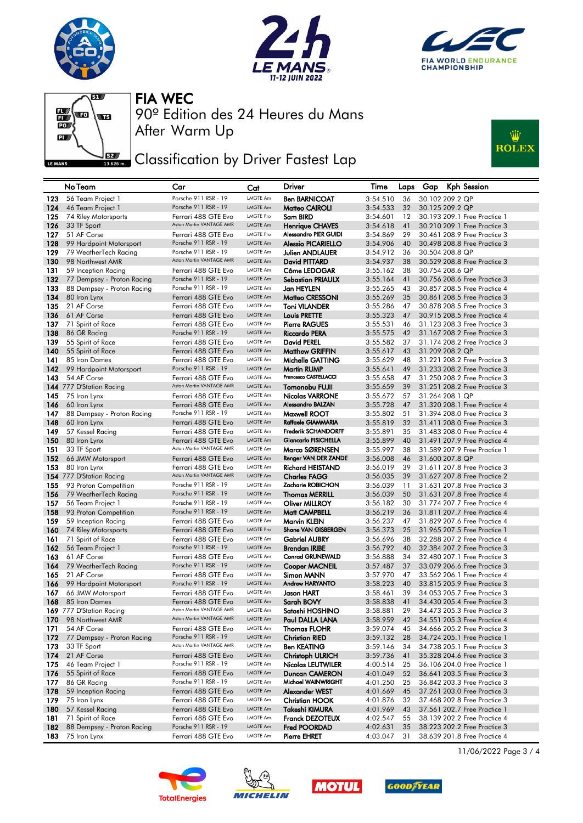







**JEE** Classification by Driver Fastest Lap



|            | No Team                            | Car                                         | Cat                         | Driver                                   | Time                 | Laps     | Gap | <b>Kph Session</b>                                           |
|------------|------------------------------------|---------------------------------------------|-----------------------------|------------------------------------------|----------------------|----------|-----|--------------------------------------------------------------|
| 123        | 56 Team Project 1                  | Porsche 911 RSR - 19                        | LMGTE Am                    | <b>Ben BARNICOAT</b>                     | 3:54.510             | 36       |     | 30.102 209.2 QP                                              |
| 124        | 46 Team Project 1                  | Porsche 911 RSR - 19                        | <b>LMGTE Am</b>             | Matteo CAIROLI                           | 3:54.533             | 32       |     | 30.125 209.2 QP                                              |
| 125        | 74 Riley Motorsports               | Ferrari 488 GTE Evo                         | <b>LMGTE Pro</b>            | Sam BIRD                                 | 3:54.601             | 12       |     | 30.193 209.1 Free Practice 1                                 |
| 126        | 33 TF Sport                        | Aston Martin VANTAGE AMR                    | LMGTE Am                    | <b>Henrique CHAVES</b>                   | 3:54.618             | 41       |     | 30.210 209.1 Free Practice 3                                 |
| 127        | 51 AF Corse                        | Ferrari 488 GTE Evo                         | <b>LMGTE Pro</b>            | Alessandro PIER GUIDI                    | 3:54.869             | 29       |     | 30.461 208.9 Free Practice 3                                 |
| 128        | 99 Hardpoint Motorsport            | Porsche 911 RSR - 19                        | <b>LMGTE Am</b>             | <b>Alessio PICARIELLO</b>                | 3:54.906             | 40       |     | 30.498 208.8 Free Practice 3                                 |
| 129        | 79 WeatherTech Racing              | Porsche 911 RSR - 19                        | LMGTE Am                    | <b>Julien ANDLAUER</b>                   | 3:54.912             | 36       |     | 30.504 208.8 QP                                              |
| 130        | 98 Northwest AMR                   | Aston Martin VANTAGE AMR                    | <b>LMGTE Am</b>             | David PITTARD                            | 3:54.937             | 38       |     | 30.529 208.8 Free Practice 3                                 |
| 131        | 59 Inception Racing                | Ferrari 488 GTE Evo                         | LMGTE Am                    | Côme LEDOGAR                             | 3:55.162             | 38       |     | 30.754 208.6 QP                                              |
| 132        | 77 Dempsey - Proton Racing         | Porsche 911 RSR - 19                        | <b>LMGTE Am</b>             | <b>Sebastian PRIAULX</b>                 | 3:55.164             | 41       |     | 30.756 208.6 Free Practice 3                                 |
| 133        | 88 Dempsey - Proton Racing         | Porsche 911 RSR - 19                        | <b>LMGTE Am</b>             | <b>Jan HEYLEN</b>                        | 3:55.265             | 43       |     | 30.857 208.5 Free Practice 4                                 |
| 134        | 80 Iron Lynx                       | Ferrari 488 GTE Evo                         | <b>LMGTE Am</b>             | Matteo CRESSONI                          | 3:55.269             | 35       |     | 30.861 208.5 Free Practice 3                                 |
| 135        | 21 AF Corse                        | Ferrari 488 GTE Evo                         | LMGTE Am                    | <b>Toni VILANDER</b>                     | 3:55.286             | 47       |     | 30.878 208.5 Free Practice 3                                 |
| 136        | 61 AF Corse                        | Ferrari 488 GTE Evo                         | LMGTE Am<br><b>LMGTE Am</b> | <b>Louis PRETTE</b>                      | 3:55.323             | 47       |     | 30.915 208.5 Free Practice 4                                 |
| 137        | 71 Spirit of Race                  | Ferrari 488 GTE Evo<br>Porsche 911 RSR - 19 | LMGTE Am                    | <b>Pierre RAGUES</b>                     | 3:55.531             | 46       |     | 31.123 208.3 Free Practice 3<br>31.167 208.2 Free Practice 3 |
| 138        | 86 GR Racing                       | Ferrari 488 GTE Evo                         | LMGTE Am                    | <b>Riccardo PERA</b>                     | 3:55.575<br>3:55.582 | 42<br>37 |     | 31.174 208.2 Free Practice 3                                 |
| 139<br>140 | 55 Spirit of Race                  | Ferrari 488 GTE Evo                         | <b>LMGTE Am</b>             | David PEREL<br><b>Matthew GRIFFIN</b>    | 3:55.617             | 43       |     | 31.209 208.2 QP                                              |
| 141        | 55 Spirit of Race<br>85 Iron Dames | Ferrari 488 GTE Evo                         | LMGTE Am                    | Michelle GATTING                         | 3:55.629             | 48       |     | 31.221 208.2 Free Practice 3                                 |
| 142        | 99 Hardpoint Motorsport            | Porsche 911 RSR - 19                        | LMGTE Am                    | Martin RUMP                              | 3:55.641             | 49       |     | 31,233 208.2 Free Practice 3                                 |
| 143        | 54 AF Corse                        | Ferrari 488 GTE Evo                         | <b>LMGTE Am</b>             | Francesco CASTELLACCI                    | 3:55.658             | 47       |     | 31.250 208.2 Free Practice 3                                 |
|            | 144 777 D'Station Racing           | Aston Martin VANTAGE AMR                    | <b>LMGTE Am</b>             | <b>Tomonobu FUJII</b>                    | 3:55.659             | 39       |     | 31.251 208.2 Free Practice 3                                 |
| 145        | 75 Iron Lynx                       | Ferrari 488 GTE Evo                         | LMGTE Am                    | <b>Nicolas VARRONE</b>                   | 3:55.672             | 57       |     | 31.264 208.1 QP                                              |
| 146        | 60 Iron Lynx                       | Ferrari 488 GTE Evo                         | LMGTE Am                    | Alessandro BALZAN                        | 3:55.728             | 47       |     | 31,320 208.1 Free Practice 4                                 |
| 147        | 88 Dempsey - Proton Racing         | Porsche 911 RSR - 19                        | LMGTE Am                    | Maxwell ROOT                             | 3:55.802             | 51       |     | 31,394 208.0 Free Practice 3                                 |
| 148        | 60 Iron Lynx                       | Ferrari 488 GTE Evo                         | <b>LMGTE Am</b>             | Raffaele GIAMMARIA                       | 3:55.819             | 32       |     | 31.411 208.0 Free Practice 3                                 |
| 149        | 57 Kessel Racing                   | Ferrari 488 GTE Evo                         | LMGTE Am                    | <b>Frederik SCHANDORFF</b>               | 3:55.891             | 35       |     | 31.483 208.0 Free Practice 4                                 |
| 150        | 80 Iron Lynx                       | Ferrari 488 GTE Evo                         | <b>LMGTE Am</b>             | Giancarlo FISICHELLA                     | 3:55.899             | 40       |     | 31.491 207.9 Free Practice 4                                 |
| 151        | 33 TF Sport                        | Aston Martin VANTAGE AMR                    | LMGTE Am                    | Marco SØRENSEN                           | 3:55.997             | 38       |     | 31,589 207,9 Free Practice 1                                 |
| 152        | 66 JMW Motorsport                  | Ferrari 488 GTE Evo                         | <b>LMGTE Am</b>             | Renger VAN DER ZANDE                     | 3:56.008             | 46       |     | 31,600 207.8 QP                                              |
| 153        | 80 Iron Lynx                       | Ferrari 488 GTE Evo                         | LMGTE Am                    | <b>Richard HEISTAND</b>                  | 3:56.019             | 39       |     | 31.611 207.8 Free Practice 3                                 |
|            | 154 777 D'Station Racing           | Aston Martin VANTAGE AMR                    | <b>LMGTE Am</b>             | <b>Charles FAGG</b>                      | 3:56.035             | 39       |     | 31.627 207.8 Free Practice 2                                 |
| 155        | 93 Proton Competition              | Porsche 911 RSR - 19                        | <b>LMGTE Am</b>             | Zacharie ROBICHON                        | 3:56.039             | 11       |     | 31.631 207.8 Free Practice 3                                 |
| 156        | 79 WeatherTech Racing              | Porsche 911 RSR - 19                        | LMGTE Am                    | <b>Thomas MERRILL</b>                    | 3:56.039             | 50       |     | 31.631 207.8 Free Practice 4                                 |
| 157        | 56 Team Project 1                  | Porsche 911 RSR - 19                        | <b>LMGTE Am</b>             | <b>Oliver MILLROY</b>                    | 3:56.182             | 30       |     | 31.774 207.7 Free Practice 4                                 |
| 158        | 93 Proton Competition              | Porsche 911 RSR - 19                        | LMGTE Am                    | Matt CAMPBELL                            | 3:56.219             | 36       |     | 31.811 207.7 Free Practice 4                                 |
| 159        | 59 Inception Racing                | Ferrari 488 GTE Evo                         | LMGTE Am                    | Marvin KLEIN                             | 3:56.237             | 47       |     | 31,829 207.6 Free Practice 4                                 |
| 160        | 74 Riley Motorsports               | Ferrari 488 GTE Evo                         | <b>LMGTE Pro</b>            | <b>Shane VAN GISBERGEN</b>               | 3:56.373             | 25       |     | 31.965 207.5 Free Practice 1                                 |
| 161        | 71 Spirit of Race                  | Ferrari 488 GTE Evo<br>Porsche 911 RSR - 19 | LMGTE Am<br><b>LMGTE Am</b> | <b>Gabriel AUBRY</b>                     | 3:56.696             | 38       |     | 32,288 207.2 Free Practice 4                                 |
| 162<br>163 | 56 Team Project 1<br>61 AF Corse   | Ferrari 488 GTE Evo                         | LMGTE Am                    | Brendan IRIBE<br><b>Conrad GRUNEWALD</b> | 3:56.792<br>3:56.888 | 40<br>34 |     | 32.384 207.2 Free Practice 3<br>32.480 207.1 Free Practice 3 |
| 164        | 79 WeatherTech Racing              | Porsche 911 RSR - 19                        | <b>LMGTE Am</b>             | <b>Cooper MACNEIL</b>                    | 3:57.487             | 37       |     | 33.079 206.6 Free Practice 3                                 |
| 165        | 21 AF Corse                        | Ferrari 488 GTE Evo                         | LMGTE Am                    | Simon MANN                               | 3:57.970             | 47       |     | 33.562 206.1 Free Practice 4                                 |
| 166        | 99 Hardpoint Motorsport            | Porsche 911 RSR - 19                        | LMGTE Am                    | <b>Andrew HARYANTO</b>                   | 3:58.223             | 40       |     | 33.815 205.9 Free Practice 3                                 |
| 167        | 66 JMW Motorsport                  | Ferrari 488 GTE Evo                         | LMGTE Am                    | Jason HART                               | 3:58.461             | 39       |     | 34,053 205,7 Free Practice 3                                 |
| 168        | 85 Iron Dames                      | Ferrari 488 GTE Evo                         | LMGTE Am                    | Sarah BOVY                               | 3:58.838             | 41       |     | 34.430 205.4 Free Practice 3                                 |
|            | 169 777 D'Station Racing           | Aston Martin VANTAGE AMR                    | <b>LMGTE Am</b>             | Satoshi HOSHINO                          | 3:58.881             | 29       |     | 34.473 205.3 Free Practice 3                                 |
| 170        | 98 Northwest AMR                   | Aston Martin VANTAGE AMR                    | LMGTE Am                    | Paul DALLA LANA                          | 3:58.959             | 42       |     | 34.551 205.3 Free Practice 4                                 |
| 171        | 54 AF Corse                        | Ferrari 488 GTE Evo                         | LMGTE Am                    | <b>Thomas FLOHR</b>                      | 3:59.074             | 45       |     | 34.666 205.2 Free Practice 3                                 |
| 172        | 77 Dempsey - Proton Racing         | Porsche 911 RSR - 19                        | LMGTE Am                    | <b>Christian RIED</b>                    | 3:59.132             | 28       |     | 34.724 205.1 Free Practice 1                                 |
| 173        | 33 TF Sport                        | Aston Martin VANTAGE AMR                    | LMGTE Am                    | <b>Ben KEATING</b>                       | 3:59.146             | 34       |     | 34.738 205.1 Free Practice 3                                 |
| 174        | 21 AF Corse                        | Ferrari 488 GTE Evo                         | LMGTE Am                    | <b>Christoph ULRICH</b>                  | 3:59.736             | 41       |     | 35.328 204.6 Free Practice 3                                 |
| 175        | 46 Team Project 1                  | Porsche 911 RSR - 19                        | LMGTE Am                    | <b>Nicolas LEUTWILER</b>                 | 4:00.514             | 25       |     | 36.106 204.0 Free Practice 1                                 |
| 176        | 55 Spirit of Race                  | Ferrari 488 GTE Evo                         | LMGTE Am                    | Duncan CAMERON                           | 4:01.049             | 52       |     | 36.641 203.5 Free Practice 3                                 |
| 177.       | 86 GR Racing                       | Porsche 911 RSR - 19                        | LMGTE Am                    | Michael WAINWRIGHT                       | 4:01.250             | 25       |     | 36.842 203.3 Free Practice 3                                 |
| 178        | 59 Inception Racing                | Ferrari 488 GTE Evo                         | LMGTE Am                    | <b>Alexander WEST</b>                    | 4:01.669             | 45       |     | 37.261 203.0 Free Practice 3                                 |
| 179        | 75 Iron Lynx                       | Ferrari 488 GTE Evo                         | LMGTE Am                    | <b>Christian HOOK</b>                    | 4:01.876             | 32       |     | 37.468 202.8 Free Practice 3                                 |
| 180        | 57 Kessel Racing                   | Ferrari 488 GTE Evo                         | LMGTE Am                    | Takeshi KIMURA                           | 4:01.969             | 43       |     | 37.561 202.7 Free Practice 1                                 |
| 181        | 71 Spirit of Race                  | Ferrari 488 GTE Evo                         | LMGTE Am                    | <b>Franck DEZOTEUX</b>                   | 4:02.547             | 55       |     | 38.139 202.2 Free Practice 4                                 |
| 182        | 88 Dempsey - Proton Racing         | Porsche 911 RSR - 19                        | LMGTE Am                    | Fred POORDAD                             | 4:02.631             | 35       |     | 38.223 202.2 Free Practice 3                                 |
| 183        | 75 Iron Lynx                       | Ferrari 488 GTE Evo                         | LMGTE Am                    | <b>Pierre EHRET</b>                      | 4:03.047             | 31       |     | 38,639 201.8 Free Practice 4                                 |









11/06/2022 Page 3 / 4